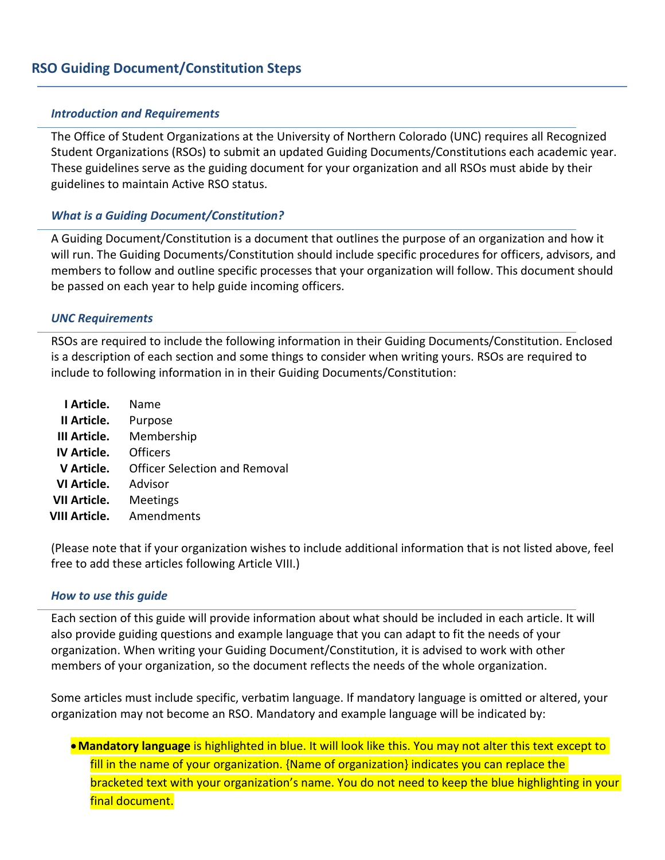#### *Introduction and Requirements*

The Office of Student Organizations at the University of Northern Colorado (UNC) requires all Recognized Student Organizations (RSOs) to submit an updated Guiding Documents/Constitutions each academic year. These guidelines serve as the guiding document for your organization and all RSOs must abide by their guidelines to maintain Active RSO status.

# *What is a Guiding Document/Constitution?*

A Guiding Document/Constitution is a document that outlines the purpose of an organization and how it will run. The Guiding Documents/Constitution should include specific procedures for officers, advisors, and members to follow and outline specific processes that your organization will follow. This document should be passed on each year to help guide incoming officers.

#### *UNC Requirements*

RSOs are required to include the following information in their Guiding Documents/Constitution. Enclosed is a description of each section and some things to consider when writing yours. RSOs are required to include to following information in in their Guiding Documents/Constitution:

| I Article.           | Name                          |
|----------------------|-------------------------------|
| II Article.          | Purpose                       |
| III Article.         | Membership                    |
| <b>IV Article.</b>   | Officers                      |
| V Article.           | Officer Selection and Removal |
| VI Article.          | Advisor                       |
| VII Article.         | <b>Meetings</b>               |
| <b>VIII Article.</b> | Amendments                    |
|                      |                               |

(Please note that if your organization wishes to include additional information that is not listed above, feel free to add these articles following Article VIII.)

#### *How to use this guide*

Each section of this guide will provide information about what should be included in each article. It will also provide guiding questions and example language that you can adapt to fit the needs of your organization. When writing your Guiding Document/Constitution, it is advised to work with other members of your organization, so the document reflects the needs of the whole organization.

Some articles must include specific, verbatim language. If mandatory language is omitted or altered, your organization may not become an RSO. Mandatory and example language will be indicated by:

•**Mandatory language** is highlighted in blue. It will look like this. You may not alter this text except to fill in the name of your organization. {Name of organization} indicates you can replace the bracketed text with your organization's name. You do not need to keep the blue highlighting in your final document.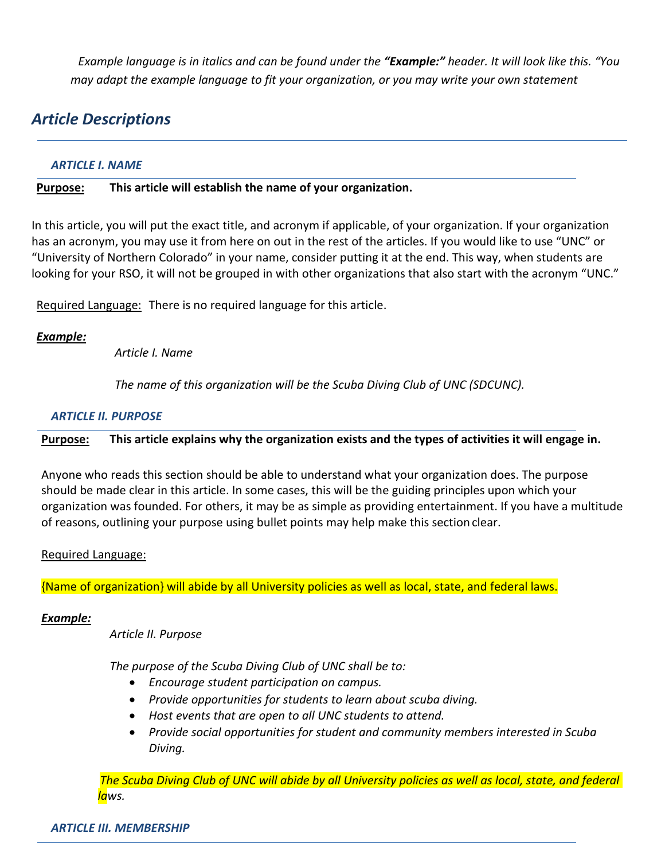*Example language is in italics and can be found under the "Example:" header. It will look like this. "You may adapt the example language to fit your organization, or you may write your own statement*

# *Article Descriptions*

# *ARTICLE I. NAME*

# **Purpose: This article will establish the name of your organization.**

In this article, you will put the exact title, and acronym if applicable, of your organization. If your organization has an acronym, you may use it from here on out in the rest of the articles. If you would like to use "UNC" or "University of Northern Colorado" in your name, consider putting it at the end. This way, when students are looking for your RSO, it will not be grouped in with other organizations that also start with the acronym "UNC."

Required Language: There is no required language for this article.

# *Example:*

*Article I. Name*

*The name of this organization will be the Scuba Diving Club of UNC (SDCUNC).*

# *ARTICLE II. PURPOSE*

**Purpose: This article explains why the organization exists and the types of activities it will engage in.** 

Anyone who reads this section should be able to understand what your organization does. The purpose should be made clear in this article. In some cases, this will be the guiding principles upon which your organization was founded. For others, it may be as simple as providing entertainment. If you have a multitude of reasons, outlining your purpose using bullet points may help make this section clear.

# Required Language:

{Name of organization} will abide by all University policies as well as local, state, and federal laws.

# *Example:*

*Article II. Purpose*

*The purpose of the Scuba Diving Club of UNC shall be to:*

- *Encourage student participation on campus.*
- *Provide opportunities for students to learn about scuba diving.*
- *Host events that are open to all UNC students to attend.*
- *Provide social opportunities for student and community members interested in Scuba Diving.*

*The Scuba Diving Club of UNC will abide by all University policies as well as local, state, and federal laws.*

# *ARTICLE III. MEMBERSHIP*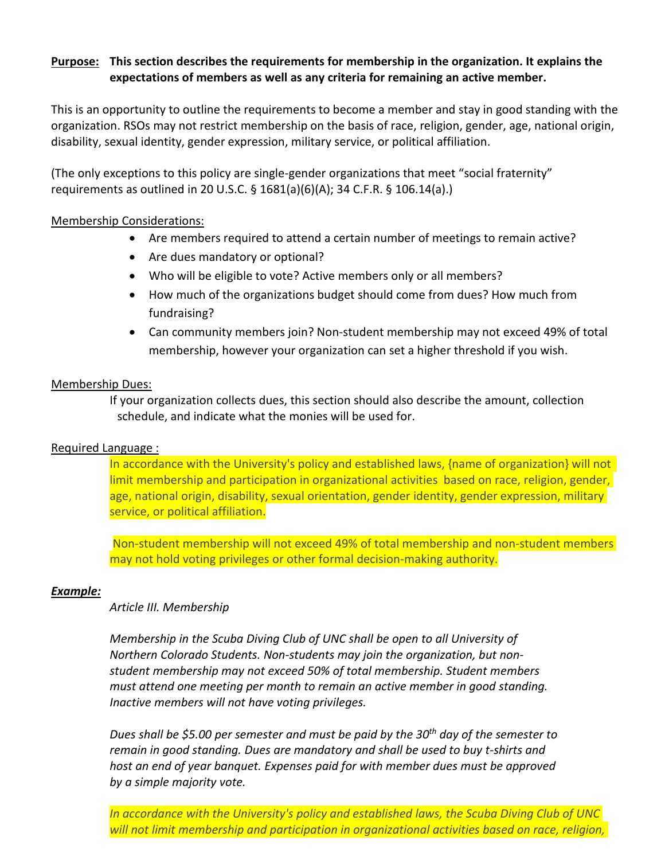# **Purpose: This section describes the requirements for membership in the organization. It explains the expectations of members as well as any criteria for remaining an active member.**

This is an opportunity to outline the requirements to become a member and stay in good standing with the organization. RSOs may not restrict membership on the basis of race, religion, gender, age, national origin, disability, sexual identity, gender expression, military service, or political affiliation.

(The only exceptions to this policy are single-gender organizations that meet "social fraternity" requirements as outlined in 20 U.S.C. § 1681(a)(6)(A); 34 C.F.R. § 106.14(a).)

# Membership Considerations:

- Are members required to attend a certain number of meetings to remain active?
- Are dues mandatory or optional?
- Who will be eligible to vote? Active members only or all members?
- How much of the organizations budget should come from dues? How much from fundraising?
- Can community members join? Non-student membership may not exceed 49% of total membership, however your organization can set a higher threshold if you wish.

# Membership Dues:

If your organization collects dues, this section should also describe the amount, collection schedule, and indicate what the monies will be used for.

# Required Language :

In accordance with the University's policy and established laws, {name of organization} will not limit membership and participation in organizational activities based on race, religion, gender, age, national origin, disability, sexual orientation, gender identity, gender expression, military service, or political affiliation.

Non-student membership will not exceed 49% of total membership and non-student members may not hold voting privileges or other formal decision-making authority.

# *Example:*

# *Article III. Membership*

*Membership in the Scuba Diving Club of UNC shall be open to all University of Northern Colorado Students. Non-students may join the organization, but nonstudent membership may not exceed 50% of total membership. Student members must attend one meeting per month to remain an active member in good standing. Inactive members will not have voting privileges.* 

*Dues shall be \$5.00 per semester and must be paid by the 30th day of the semester to remain in good standing. Dues are mandatory and shall be used to buy t-shirts and host an end of year banquet. Expenses paid for with member dues must be approved by a simple majority vote.* 

*In accordance with the University's policy and established laws, the Scuba Diving Club of UNC will not limit membership and participation in organizational activities based on race, religion,*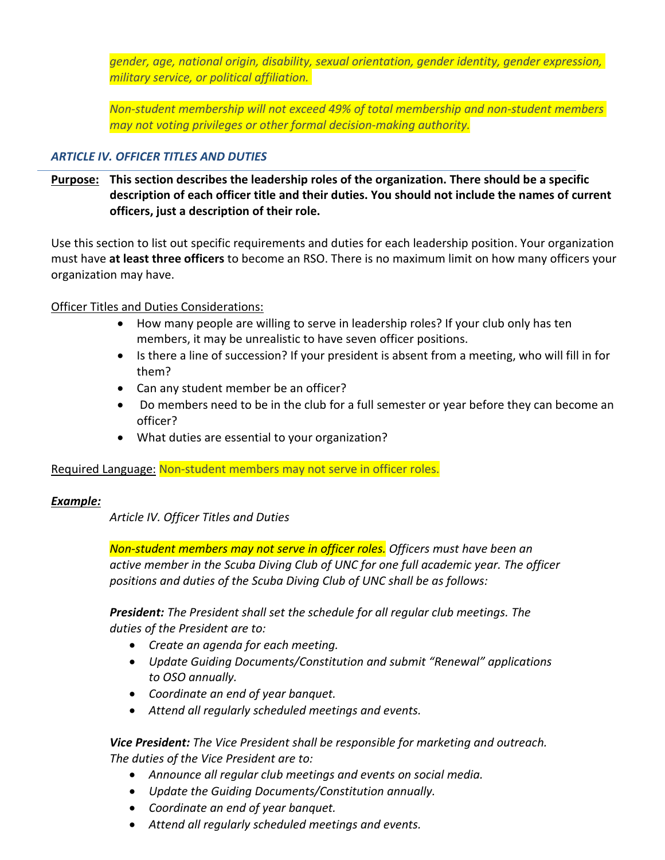*gender, age, national origin, disability, sexual orientation, gender identity, gender expression, military service, or political affiliation.* 

*Non-student membership will not exceed 49% of total membership and non-student members may not voting privileges or other formal decision-making authority.*

# *ARTICLE IV. OFFICER TITLES AND DUTIES*

**Purpose: This section describes the leadership roles of the organization. There should be a specific description of each officer title and their duties. You should not include the names of current officers, just a description of their role.** 

Use this section to list out specific requirements and duties for each leadership position. Your organization must have **at least three officers** to become an RSO. There is no maximum limit on how many officers your organization may have.

# Officer Titles and Duties Considerations:

- How many people are willing to serve in leadership roles? If your club only has ten members, it may be unrealistic to have seven officer positions.
- Is there a line of succession? If your president is absent from a meeting, who will fill in for them?
- Can any student member be an officer?
- Do members need to be in the club for a full semester or year before they can become an officer?
- What duties are essential to your organization?

# Required Language: Non-student members may not serve in officer roles.

# *Example:*

*Article IV. Officer Titles and Duties*

*Non-student members may not serve in officer roles. Officers must have been an active member in the Scuba Diving Club of UNC for one full academic year. The officer positions and duties of the Scuba Diving Club of UNC shall be as follows:*

*President: The President shall set the schedule for all regular club meetings. The duties of the President are to:*

- *Create an agenda for each meeting.*
- *Update Guiding Documents/Constitution and submit "Renewal" applications to OSO annually.*
- *Coordinate an end of year banquet.*
- *Attend all regularly scheduled meetings and events.*

*Vice President: The Vice President shall be responsible for marketing and outreach. The duties of the Vice President are to:*

- *Announce all regular club meetings and events on social media.*
- *Update the Guiding Documents/Constitution annually.*
- *Coordinate an end of year banquet.*
- *Attend all regularly scheduled meetings and events.*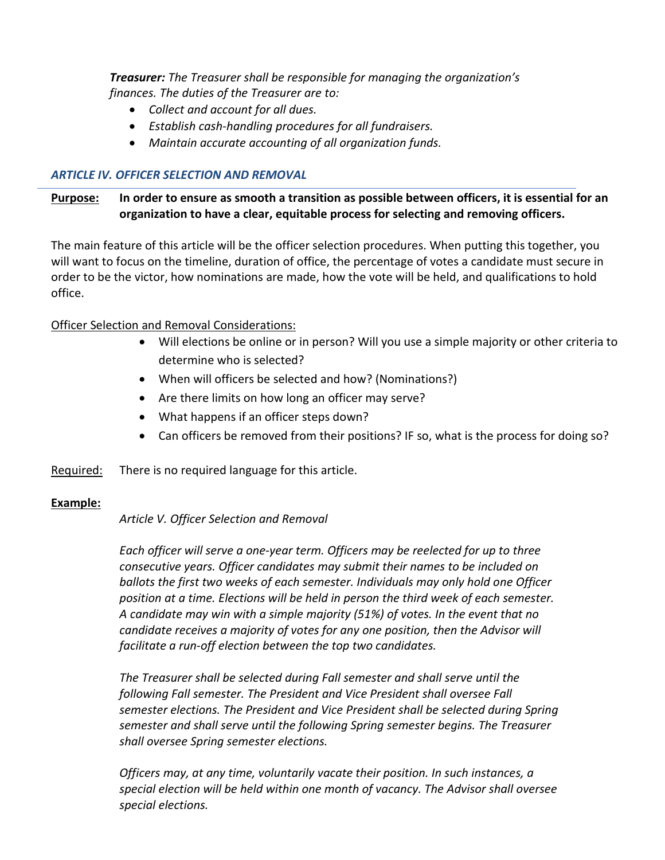*Treasurer: The Treasurer shall be responsible for managing the organization's finances. The duties of the Treasurer are to:*

- *Collect and account for all dues.*
- *Establish cash-handling procedures for all fundraisers.*
- *Maintain accurate accounting of all organization funds.*

# *ARTICLE IV. OFFICER SELECTION AND REMOVAL*

# **Purpose: In order to ensure as smooth a transition as possible between officers, it is essential for an organization to have a clear, equitable process for selecting and removing officers.**

The main feature of this article will be the officer selection procedures. When putting this together, you will want to focus on the timeline, duration of office, the percentage of votes a candidate must secure in order to be the victor, how nominations are made, how the vote will be held, and qualifications to hold office.

# Officer Selection and Removal Considerations:

- Will elections be online or in person? Will you use a simple majority or other criteria to determine who is selected?
- When will officers be selected and how? (Nominations?)
- Are there limits on how long an officer may serve?
- What happens if an officer steps down?
- Can officers be removed from their positions? IF so, what is the process for doing so?
- Required: There is no required language for this article.

# **Example:**

# *Article V. Officer Selection and Removal*

*Each officer will serve a one-year term. Officers may be reelected for up to three consecutive years. Officer candidates may submit their names to be included on ballots the first two weeks of each semester. Individuals may only hold one Officer position at a time. Elections will be held in person the third week of each semester. A candidate may win with a simple majority (51%) of votes. In the event that no candidate receives a majority of votes for any one position, then the Advisor will facilitate a run-off election between the top two candidates.*

*The Treasurer shall be selected during Fall semester and shall serve until the following Fall semester. The President and Vice President shall oversee Fall semester elections. The President and Vice President shall be selected during Spring semester and shall serve until the following Spring semester begins. The Treasurer shall oversee Spring semester elections.*

*Officers may, at any time, voluntarily vacate their position. In such instances, a special election will be held within one month of vacancy. The Advisor shall oversee special elections.*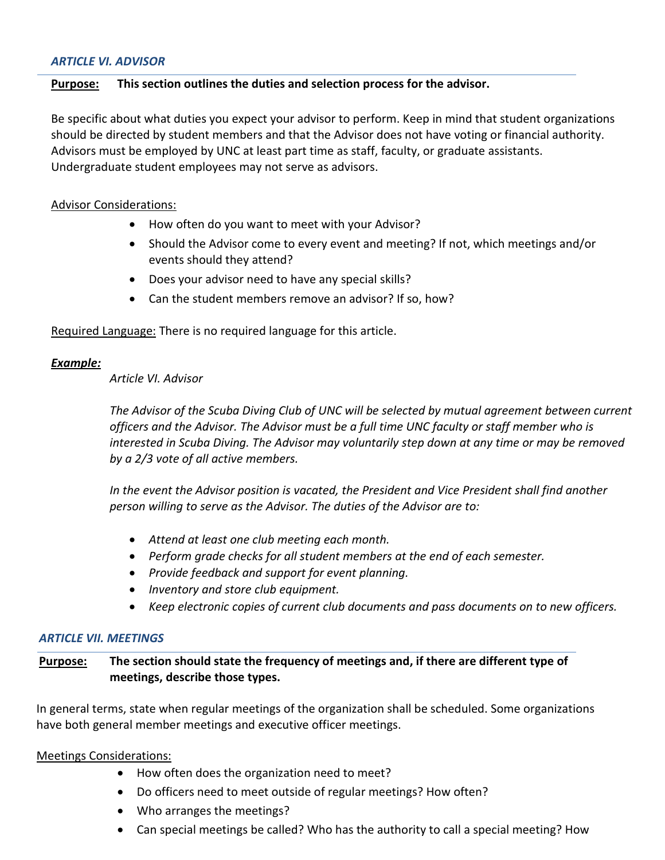# *ARTICLE VI. ADVISOR*

#### **Purpose: This section outlines the duties and selection process for the advisor.**

Be specific about what duties you expect your advisor to perform. Keep in mind that student organizations should be directed by student members and that the Advisor does not have voting or financial authority. Advisors must be employed by UNC at least part time as staff, faculty, or graduate assistants. Undergraduate student employees may not serve as advisors.

#### Advisor Considerations:

- How often do you want to meet with your Advisor?
- Should the Advisor come to every event and meeting? If not, which meetings and/or events should they attend?
- Does your advisor need to have any special skills?
- Can the student members remove an advisor? If so, how?

Required Language: There is no required language for this article.

# *Example:*

#### *Article VI. Advisor*

*The Advisor of the Scuba Diving Club of UNC will be selected by mutual agreement between current officers and the Advisor. The Advisor must be a full time UNC faculty or staff member who is interested in Scuba Diving. The Advisor may voluntarily step down at any time or may be removed by a 2/3 vote of all active members.* 

*In the event the Advisor position is vacated, the President and Vice President shall find another person willing to serve as the Advisor. The duties of the Advisor are to:*

- *Attend at least one club meeting each month.*
- *Perform grade checks for all student members at the end of each semester.*
- *Provide feedback and support for event planning.*
- *Inventory and store club equipment.*
- *Keep electronic copies of current club documents and pass documents on to new officers.*

#### *ARTICLE VII. MEETINGS*

# **Purpose: The section should state the frequency of meetings and, if there are different type of meetings, describe those types.**

In general terms, state when regular meetings of the organization shall be scheduled. Some organizations have both general member meetings and executive officer meetings.

# Meetings Considerations:

- How often does the organization need to meet?
- Do officers need to meet outside of regular meetings? How often?
- Who arranges the meetings?
- Can special meetings be called? Who has the authority to call a special meeting? How